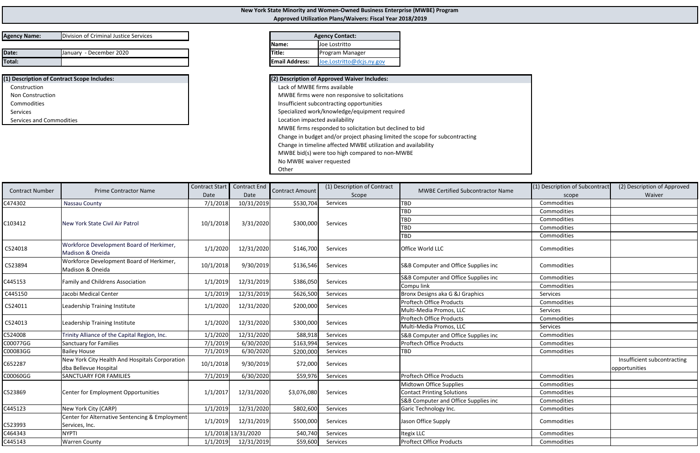| Division of Criminal Justice Services<br><b>Agency Name:</b> |  |
|--------------------------------------------------------------|--|
|--------------------------------------------------------------|--|

| Date:  | 2020<br>December<br>January | <b>Title:</b>         | . Manager<br><b>Program</b><br>. . |
|--------|-----------------------------|-----------------------|------------------------------------|
| Total: |                             | <b>Email Address:</b> | Joe<br>חר.<br>οιασας<br>.50        |

**(1) Description of Contract Scope Includes: (2) Description of Approved Waiver Includes:** Construction Lack of MWBE firms available **Non Construction** CommoditiesServices

| $\mathbf{R}$ z) Description of Approved Walver Includes.                     |
|------------------------------------------------------------------------------|
| Lack of MWBE firms available                                                 |
| MWBE firms were non responsive to solicitations                              |
| Insufficient subcontracting opportunities                                    |
| Specialized work/knowledge/equipment required                                |
| Location impacted availability                                               |
| MWBE firms responded to solicitation but declined to bid                     |
| Change in budget and/or project phasing limited the scope for subcontracting |
| Change in timeline affected MWBE utilization and availability                |
| MWBE bid(s) were too high compared to non-MWBE                               |
| No MWBE waiver requested                                                     |
| Other                                                                        |
|                                                                              |

| <b>Agency Contact:</b> |                           |  |  |  |  |  |  |
|------------------------|---------------------------|--|--|--|--|--|--|
| <b>IName:</b>          | lJoe Lostritto            |  |  |  |  |  |  |
| <b>ITitle:</b>         | Program Manager           |  |  |  |  |  |  |
| <b>Email Address:</b>  | Joe.Lostritto@dcjs.ny.gov |  |  |  |  |  |  |

| <b>Contract Number</b> | <b>Prime Contractor Name</b>                                            | <b>Contract Start</b> | <b>Contract End</b> | Contract Amount | (1) Description of Contract | <b>MWBE Certified Subcontractor Name</b> | (1) Description of Subcontract | (2) Description of Approved                  |
|------------------------|-------------------------------------------------------------------------|-----------------------|---------------------|-----------------|-----------------------------|------------------------------------------|--------------------------------|----------------------------------------------|
|                        |                                                                         | Date                  | Date                |                 | Scope                       |                                          | scope                          | Waiver                                       |
| C474302                | Nassau County                                                           | 7/1/2018              | 10/31/2019          | \$530,704       | Services                    | <b>TBD</b>                               | Commodities                    |                                              |
|                        |                                                                         |                       |                     |                 |                             | <b>TBD</b>                               | Commodities                    |                                              |
| C103412                | New York State Civil Air Patrol                                         | 10/1/2018             | 3/31/2020           | \$300,000       | Services                    | <b>TBD</b>                               | Commodities                    |                                              |
|                        |                                                                         |                       |                     |                 |                             | <b>TBD</b>                               | Commodities                    |                                              |
|                        |                                                                         |                       |                     |                 |                             | <b>TBD</b>                               | Commodities                    |                                              |
| C524018                | Workforce Development Board of Herkimer,<br>Madison & Oneida            | 1/1/2020              | 12/31/2020          | \$146,700       | Services                    | <b>Office World LLC</b>                  | Commodities                    |                                              |
| C523894                | Workforce Development Board of Herkimer,<br>Madison & Oneida            | 10/1/2018             | 9/30/2019           | \$136,546       | Services                    | S&B Computer and Office Supplies inc     | Commodities                    |                                              |
| C445153                | <b>Family and Childrens Association</b>                                 | 1/1/2019              | 12/31/2019          | \$386,050       | Services                    | S&B Computer and Office Supplies inc     | Commodities                    |                                              |
|                        |                                                                         |                       |                     |                 |                             | Compu link                               | Commodities                    |                                              |
| C445150                | Jacobi Medical Center                                                   | 1/1/2019              | 12/31/2019          | \$626,500       | Services                    | Bronx Designs aka G &J Graphics          | Services                       |                                              |
| C524011                | Leadership Training Institute                                           | 1/1/2020              | 12/31/2020          | \$200,000       | Services                    | <b>Proftech Office Products</b>          | Commodities                    |                                              |
|                        |                                                                         |                       |                     |                 |                             | Multi-Media Promos, LLC                  | Services                       |                                              |
| C524013                | Leadership Training Institute                                           | 1/1/2020              | 12/31/2020          | \$300,000       | Services                    | <b>Proftech Office Products</b>          | Commodities                    |                                              |
|                        |                                                                         |                       |                     |                 |                             | Multi-Media Promos, LLC                  | Services                       |                                              |
| C524008                | Trinity Alliance of the Capital Region, Inc.                            | 1/1/2020              | 12/31/2020          | \$88,918        | Services                    | S&B Computer and Office Supplies inc     | Commodities                    |                                              |
| C00077GG               | <b>Sanctuary for Families</b>                                           | 7/1/2019              | 6/30/2020           | \$163,994       | Services                    | <b>Proftech Office Products</b>          | Commodities                    |                                              |
| C00083GG               | <b>Bailey House</b>                                                     | 7/1/2019              | 6/30/2020           | \$200,000       | Services                    | <b>TBD</b>                               | Commodities                    |                                              |
| C652287                | New York City Health And Hospitals Corporation<br>dba Bellevue Hospital | 10/1/2018             | 9/30/2019           | \$72,000        | Services                    |                                          |                                | Insufficient subcontracting<br>opportunities |
| C00060GG               | <b>SANCTUARY FOR FAMILIES</b>                                           | 7/1/2019              | 6/30/2020           | \$59,976        | Services                    | <b>Proftech Office Products</b>          | Commodities                    |                                              |
|                        |                                                                         |                       |                     |                 |                             | Midtown Office Supplies                  | Commodities                    |                                              |
| C523869                | Center for Employment Opportunities                                     | 1/1/201               | 12/31/2020          | \$3,076,080     | Services                    | <b>Contact Printing Solutions</b>        | Commodities                    |                                              |
|                        |                                                                         |                       |                     |                 |                             | S&B Computer and Office Supplies inc     | Commodities                    |                                              |
| C445123                | New York City (CARP)                                                    | 1/1/2019              | 12/31/2020          | \$802,600       | Services                    | Garic Technology Inc.                    | Commodities                    |                                              |
|                        | Center for Alternative Sentencing & Employment                          |                       | 12/31/2019          |                 | Services                    |                                          |                                |                                              |
| C523993                | Services, Inc.                                                          | 1/1/2019              |                     | \$500,000       |                             | Jason Office Supply                      | Commodities                    |                                              |
| C464343                | <b>NYPTI</b>                                                            |                       | 1/1/2018 13/31/2020 | \$40,740        | Services                    | <b>Itegix LLC</b>                        | Commodities                    |                                              |
| C445143                | <b>Warren County</b>                                                    | 1/1/2019              | 12/31/2019          | \$59,600        | Services                    | <b>Proftect Office Products</b>          | Commodities                    |                                              |

**New York State Minority and Women‐Owned Business Enterprise (MWBE) Program Approved Utilization Plans/Waivers: Fiscal Year 2018/2019**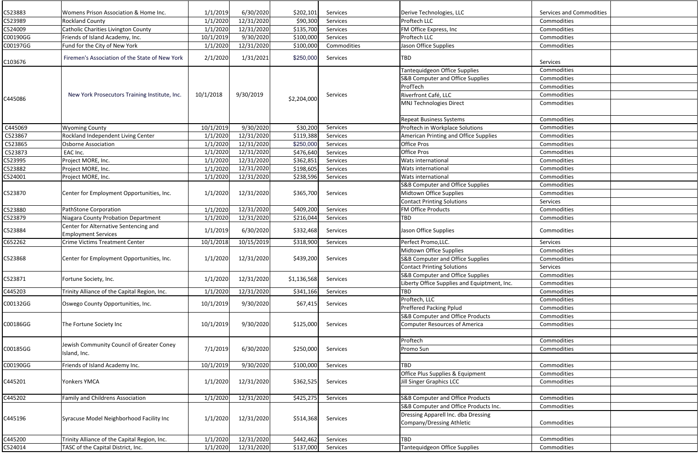| C523883            | Womens Prison Association & Home Inc.                                  | 1/1/2019              | 6/30/2020               | \$202,101              | Services             | Derive Technologies, LLC                                         | <b>Services and Commodities</b> |  |
|--------------------|------------------------------------------------------------------------|-----------------------|-------------------------|------------------------|----------------------|------------------------------------------------------------------|---------------------------------|--|
| C523989<br>C524009 | <b>Rockland County</b>                                                 | 1/1/2020              | 12/31/2020              | \$90,300               | Services             | Proftech LLC                                                     | Commodities<br>Commodities      |  |
| C00190GG           | Catholic Charities Livington County<br>Friends of Island Academy, Inc. | 1/1/2020              | 12/31/2020<br>9/30/2020 | \$135,700              | Services<br>Services | FM Office Express, Inc<br>Proftech LLC                           | Commodities                     |  |
| C00197GG           | Fund for the City of New York                                          | 10/1/2019<br>1/1/2020 | 12/31/2020              | \$100,000<br>\$100,000 | Commodities          | Jason Office Supplies                                            |                                 |  |
|                    |                                                                        |                       |                         |                        |                      |                                                                  | Commodities                     |  |
| C103676            | Firemen's Association of the State of New York                         | 2/1/2020              | 1/31/2021               | \$250,000              | Services             | TBD                                                              | Services                        |  |
|                    |                                                                        |                       |                         |                        |                      | Tantequidgeon Office Supplies                                    | Commodities                     |  |
|                    |                                                                        |                       |                         |                        |                      | <b>S&amp;B Computer and Office Supplies</b>                      | Commodities                     |  |
|                    |                                                                        |                       |                         |                        |                      | ProfTech                                                         | Commodities                     |  |
| C445086            | New York Prosecutors Training Institute, Inc.                          | 10/1/2018             | 9/30/2019               | \$2,204,000            | Services             | Riverfront Café, LLC                                             | Commodities                     |  |
|                    |                                                                        |                       |                         |                        |                      | <b>MNJ Technologies Direct</b>                                   | Commodities                     |  |
|                    |                                                                        |                       |                         |                        |                      | <b>Repeat Business Systems</b>                                   | Commodities                     |  |
| C445069            | <b>Wyoming County</b>                                                  | 10/1/2019             | 9/30/2020               | \$30,200               | Services             | Proftech in Workplace Solutions                                  | Commodities                     |  |
| C523867            | Rockland Independent Living Center                                     | 1/1/2020              | 12/31/2020              | \$119,388              | Services             | <b>American Printing and Office Supplies</b>                     | Commodities                     |  |
| C523865            | <b>Osborne Association</b>                                             | 1/1/2020              | 12/31/2020              | \$250,000              | Services             | <b>Office Pros</b>                                               | Commodities                     |  |
| C523873            | EAC Inc.                                                               | 1/1/2020              | 12/31/2020              | \$476,640              | Services             | <b>Office Pros</b>                                               | Commodities                     |  |
| C523995            | Project MORE, Inc.                                                     | 1/1/2020              | 12/31/2020              | \$362,851              | Services             | Wats international                                               | Commodities                     |  |
| C523882            | Project MORE, Inc.                                                     | 1/1/2020              | 12/31/2020              | \$198,605              | Services             | Wats international                                               | Commodities                     |  |
| C524001            | Project MORE, Inc.                                                     | 1/1/2020              | 12/31/2020              | \$238,596              | Services             | Wats international                                               | Commodities                     |  |
| C523870            |                                                                        |                       |                         |                        | Services             | S&B Computer and Office Supplies                                 | Commodities                     |  |
|                    | Center for Employment Opportunities, Inc.                              | 1/1/2020              | 12/31/2020              | \$365,700              |                      | Midtown Office Supplies                                          | Commodities                     |  |
|                    |                                                                        |                       |                         |                        |                      | <b>Contact Printing Solutions</b>                                | Services                        |  |
| C523880            | PathStone Corporation                                                  | 1/1/2020              | 12/31/2020              | \$409,200              | Services             | FM Office Products                                               | Commodities                     |  |
| C523879            | Niagara County Probation Department                                    | 1/1/2020              | 12/31/2020              | \$216,044              | Services             | TBD                                                              | Commodities                     |  |
| C523884            | Center for Alternative Sentencing and<br><b>Employment Services</b>    | 1/1/2019              | 6/30/2020               | \$332,468              | Services             | Jason Office Supplies                                            | Commodities                     |  |
| C652262            | <b>Crime Victims Treatment Center</b>                                  | 10/1/2018             | 10/15/2019              | \$318,900              | Services             | Perfect Promo, LLC.                                              | Services                        |  |
|                    | Center for Employment Opportunities, Inc.                              |                       | 1/1/2020 12/31/2020     |                        | \$439,200 Services   | Midtown Office Supplies                                          | Commodities                     |  |
| C523868            |                                                                        |                       |                         |                        |                      | <b>S&amp;B Computer and Office Supplies</b>                      | Commodities                     |  |
|                    |                                                                        |                       |                         |                        |                      | <b>Contact Printing Solutions</b>                                | Services                        |  |
|                    |                                                                        |                       |                         |                        |                      | <b>S&amp;B Computer and Office Supplies</b>                      | Commodities                     |  |
| C523871            | Fortune Society, Inc.                                                  | 1/1/2020              | 12/31/2020              | \$1,136,568            | Services             | Liberty Office Supplies and Equiptment, Inc.                     | Commodities                     |  |
| C445203            | Trinity Alliance of the Capital Region, Inc.                           | 1/1/2020              | 12/31/2020              | \$341,166              | Services             | TBD                                                              | Commodities                     |  |
|                    |                                                                        |                       |                         |                        |                      | Proftech, LLC                                                    | Commodities                     |  |
| C00132GG           | Oswego County Opportunities, Inc.                                      | 10/1/2019             | 9/30/2020               | \$67,415               | Services             | <b>Preffered Packing Pplud</b>                                   | Commodities                     |  |
|                    |                                                                        |                       |                         |                        |                      | <b>S&amp;B Computer and Office Products</b>                      | Commodities                     |  |
| C00186GG           | The Fortune Society Inc                                                | 10/1/2019             | 9/30/2020               | \$125,000              | Services             | <b>Computer Resources of America</b>                             | Commodities                     |  |
|                    |                                                                        |                       |                         |                        |                      |                                                                  |                                 |  |
|                    |                                                                        |                       |                         |                        | Services             | Proftech                                                         | Commodities                     |  |
| C00185GG           | Jewish Community Council of Greater Coney                              | 7/1/2019              | 6/30/2020               | \$250,000              |                      | Promo Sun                                                        | Commodities                     |  |
|                    | Island, Inc.                                                           |                       |                         |                        |                      |                                                                  |                                 |  |
| C00190GG           | Friends of Island Academy Inc.                                         | 10/1/2019             | 9/30/2020               | \$100,000              | Services             | TBD                                                              | Commodities                     |  |
|                    |                                                                        |                       |                         |                        |                      | Office Plus Supplies & Equipment                                 | Commodities                     |  |
| C445201            | Yonkers YMCA                                                           | 1/1/2020              | 12/31/2020              | \$362,525              | Services             | Jill Singer Graphics LCC                                         | Commodities                     |  |
|                    |                                                                        |                       |                         |                        |                      |                                                                  |                                 |  |
| C445202            | <b>Family and Childrens Association</b>                                | 1/1/2020              | 12/31/2020              | \$425,275              | Services             | <b>S&amp;B Computer and Office Products</b>                      | Commodities                     |  |
|                    |                                                                        |                       |                         |                        |                      | S&B Computer and Office Products Inc.                            | Commodities                     |  |
| C445196            | Syracuse Model Neighborhood Facility Inc                               | 1/1/2020              | 12/31/2020              | \$514,368              | Services             | Dressing Apparell Inc. dba Dressing<br>Company/Dressing Athletic | Commodities                     |  |
|                    |                                                                        |                       |                         |                        |                      |                                                                  |                                 |  |
| C445200            | Trinity Alliance of the Capital Region, Inc.                           | 1/1/2020              | 12/31/2020              | \$442,462              | Services             | TBD                                                              | Commodities                     |  |
| C524014            | TASC of the Capital District, Inc.                                     | 1/1/2020              | 12/31/2020              | \$137,000              | Services             | Tantequidgeon Office Supplies                                    | Commodities                     |  |
|                    |                                                                        |                       |                         |                        |                      |                                                                  |                                 |  |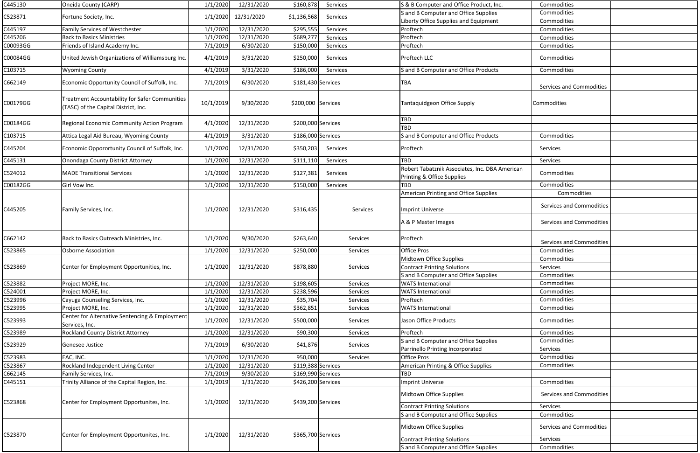| C445130            | Oneida County (CARP)                                                                   | 1/1/2020             | 12/31/2020               | \$160,878              | Services             | S & B Computer and Office Product, Inc.                                      | Commodities                     |  |
|--------------------|----------------------------------------------------------------------------------------|----------------------|--------------------------|------------------------|----------------------|------------------------------------------------------------------------------|---------------------------------|--|
| C523871            | Fortune Society, Inc.                                                                  | 1/1/2020             | 12/31/2020               | \$1,136,568            | Services             | S and B Computer and Office Supplies                                         | Commodities                     |  |
|                    |                                                                                        |                      |                          |                        |                      | Liberty Office Supplies and Equipment                                        | Commodities                     |  |
| C445197            | <b>Family Services of Westchester</b>                                                  | 1/1/2020             | 12/31/2020               | \$295,555              | Services             | Proftech                                                                     | Commodities                     |  |
| C445206            | <b>Back to Basics Ministries</b>                                                       | 1/1/2020             | 12/31/2020               | \$689,277              | Services             | Proftech                                                                     | Commodities                     |  |
| C00093GG           | Friends of Island Academy Inc.                                                         | 7/1/2019             | 6/30/2020                | \$150,000              | Services             | Proftech                                                                     | Commodities                     |  |
| C00084GG           | United Jewish Organizations of Williamsburg Inc.                                       | 4/1/2019             | 3/31/2020                | \$250,000              | Services             | Proftech LLC                                                                 | Commodities                     |  |
| C103715            | <b>Wyoming County</b>                                                                  | 4/1/2019             | 3/31/2020                | \$186,000              | Services             | S and B Computer and Office Products                                         | Commodities                     |  |
| C662149            | Economic Opportunity Council of Suffolk, Inc.                                          | 7/1/2019             | 6/30/2020                | $$181,430$ Services    |                      | <b>TBA</b>                                                                   | <b>Services and Commodities</b> |  |
| C00179GG           | Treatment Accountability for Safer Communities<br>(TASC) of the Capital District, Inc. | 10/1/2019            | 9/30/2020                | \$200,000 Services     |                      | Tantaquidgeon Office Supply                                                  | Commodities                     |  |
| C00184GG           | Regional Economic Community Action Program                                             | 4/1/2020             | 12/31/2020               | \$200,000 Services     |                      | <b>TBD</b><br><b>TBD</b>                                                     |                                 |  |
| C103715            | Attica Legal Aid Bureau, Wyoming County                                                | 4/1/2019             | 3/31/2020                | \$186,000 Services     |                      | S and B Computer and Office Products                                         | Commodities                     |  |
| C445204            | Economic Opporortunity Council of Suffolk, Inc.                                        | 1/1/2020             | 12/31/2020               | \$350,203              | Services             | Proftech                                                                     | Services                        |  |
| C445131            | <b>Onondaga County District Attorney</b>                                               | 1/1/2020             | 12/31/2020               | \$111,110              | Services             | <b>TBD</b>                                                                   | Services                        |  |
| C524012            | <b>MADE Transitional Services</b>                                                      | 1/1/2020             | 12/31/2020               | \$127,381              | Services             | Robert Tabatznik Associates, Inc. DBA American<br>Printing & Office Supplies | Commodities                     |  |
| C00182GG           | Girl Vow Inc.                                                                          | 1/1/2020             | 12/31/2020               | \$150,000              | Services             | TBD                                                                          | Commodities                     |  |
|                    |                                                                                        |                      |                          |                        |                      | American Printing and Office Supplies                                        | Commodities                     |  |
| C445205            | Family Services, Inc.                                                                  | 1/1/2020             | 12/31/2020               | \$316,435              | Services             | Imprint Universe                                                             | Services and Commodities        |  |
|                    |                                                                                        |                      |                          |                        |                      | A & P Master Images                                                          | Services and Commodities        |  |
| C662142            | Back to Basics Outreach Ministries, Inc.                                               | 1/1/2020             | 9/30/2020                | \$263,640              | Services             | Proftech                                                                     | Services and Commodities        |  |
| C523865            | <b>Osborne Association</b>                                                             | 1/1/2020             | 12/31/2020               | \$250,000              | Services             | <b>Office Pros</b>                                                           | Commodities                     |  |
| C523869            | Center for Employment Opportunities, Inc.                                              | 1/1/2020             | 12/31/2020               | \$878,880              | Services             | Midtown Office Supplies<br><b>Contract Printing Solutions</b>                | Commodities<br>Services         |  |
|                    |                                                                                        |                      |                          |                        |                      | S and B Computer and Office Supplies                                         | Commodities                     |  |
| C523882            | Project MORE, Inc.                                                                     | 1/1/2020             | 12/31/2020               | \$198,605              | Services             | <b>WATS International</b>                                                    | Commodities                     |  |
| C524001            | Project MORE, Inc.                                                                     | 1/1/2020             | 12/31/2020               | \$238,596              | Services             | <b>WATS International</b>                                                    | Commodities                     |  |
| C523996            | Cayuga Counseling Services, Inc.                                                       | 1/1/2020             | 12/31/2020               | \$35,704               | Services             | Proftech                                                                     | Commodities<br>Commodities      |  |
| C523995<br>C523993 | Project MORE, Inc.<br>Center for Alternative Sentencing & Employment<br>Services, Inc. | 1/1/2020<br>1/1/2020 | 12/31/2020<br>12/31/2020 | \$362,851<br>\$500,000 | Services<br>Services | <b>WATS International</b><br>Jason Office Products                           | Commodities                     |  |
| C523989            | <b>Rockland County District Attorney</b>                                               | 1/1/2020             | 12/31/2020               | \$90,300               | Services             | Proftech                                                                     | Commodities                     |  |
|                    |                                                                                        |                      |                          |                        |                      | S and B Computer and Office Supplies                                         | Commodities                     |  |
| C523929            | Genesee Justice                                                                        | 7/1/2019             | 6/30/2020                | \$41,876               | Services             | Parrinello Printing Incorporated                                             | Services                        |  |
| C523983            | EAC, INC.                                                                              | 1/1/2020             | 12/31/2020               | 950,000                | Services             | Office Pros                                                                  | Commodities                     |  |
| C523867            | Rockland Independent Living Center                                                     | 1/1/2020             | 12/31/2020               | \$119,388 Services     |                      | <b>American Printing &amp; Office Supplies</b>                               | Commodities                     |  |
| C662145            | Family Services, Inc.                                                                  | 7/1/2019             | 9/30/2020                | \$169,990 Services     |                      | <b>TBD</b>                                                                   |                                 |  |
| C445151            | Trinity Alliance of the Capital Region, Inc.                                           | 1/1/2019             | 1/31/2020                | \$426,200 Services     |                      | <b>Imprint Universe</b>                                                      | Commodities                     |  |
| C523868            | Center for Employment Opportunites, Inc.                                               | 1/1/2020             | 12/31/2020               | \$439,200 Services     |                      | Midtown Office Supplies                                                      | Services and Commodities        |  |
|                    |                                                                                        |                      |                          |                        |                      | <b>Contract Printing Solutions</b>                                           | Services                        |  |
|                    |                                                                                        |                      |                          |                        |                      | S and B Computer and Office Supplies                                         | Commodities                     |  |
|                    | Center for Employment Opportunites, Inc.                                               | 1/1/2020             | 12/31/2020               | \$365,700 Services     |                      | Midtown Office Supplies                                                      | Services and Commodities        |  |
| C523870            |                                                                                        |                      |                          |                        |                      | <b>Contract Printing Solutions</b>                                           | Services                        |  |
|                    |                                                                                        |                      |                          |                        |                      | S and B Computer and Office Supplies                                         | Commodities                     |  |